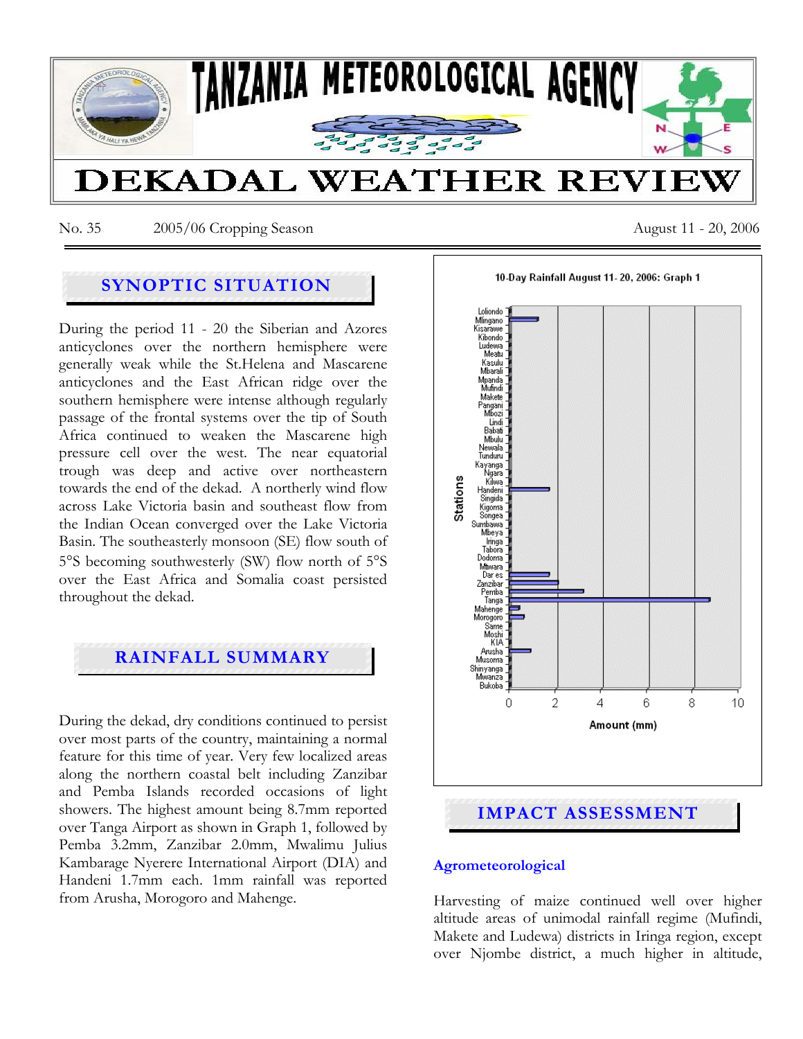

No. 35 2005/06 Cropping Season August 11 - 20, 2006

# **SYNOPTIC SITUATION**

During the period 11 - 20 the Siberian and Azores anticyclones over the northern hemisphere were generally weak while the St.Helena and Mascarene anticyclones and the East African ridge over the southern hemisphere were intense although regularly passage of the frontal systems over the tip of South Africa continued to weaken the Mascarene high pressure cell over the west. The near equatorial trough was deep and active over northeastern towards the end of the dekad. A northerly wind flow across Lake Victoria basin and southeast flow from the Indian Ocean converged over the Lake Victoria Basin. The southeasterly monsoon (SE) flow south of 5°S becoming southwesterly (SW) flow north of 5°S over the East Africa and Somalia coast persisted throughout the dekad.

## **RAINFALL SUMMARY**

During the dekad, dry conditions continued to persist over most parts of the country, maintaining a normal feature for this time of year. Very few localized areas along the northern coastal belt including Zanzibar and Pemba Islands recorded occasions of light showers. The highest amount being 8.7mm reported over Tanga Airport as shown in Graph 1, followed by Pemba 3.2mm, Zanzibar 2.0mm, Mwalimu Julius Kambarage Nyerere International Airport (DIA) and Handeni 1.7mm each. 1mm rainfall was reported from Arusha, Morogoro and Mahenge.



### **Agrometeorological**

Harvesting of maize continued well over higher altitude areas of unimodal rainfall regime (Mufindi, Makete and Ludewa) districts in Iringa region, except over Njombe district, a much higher in altitude,